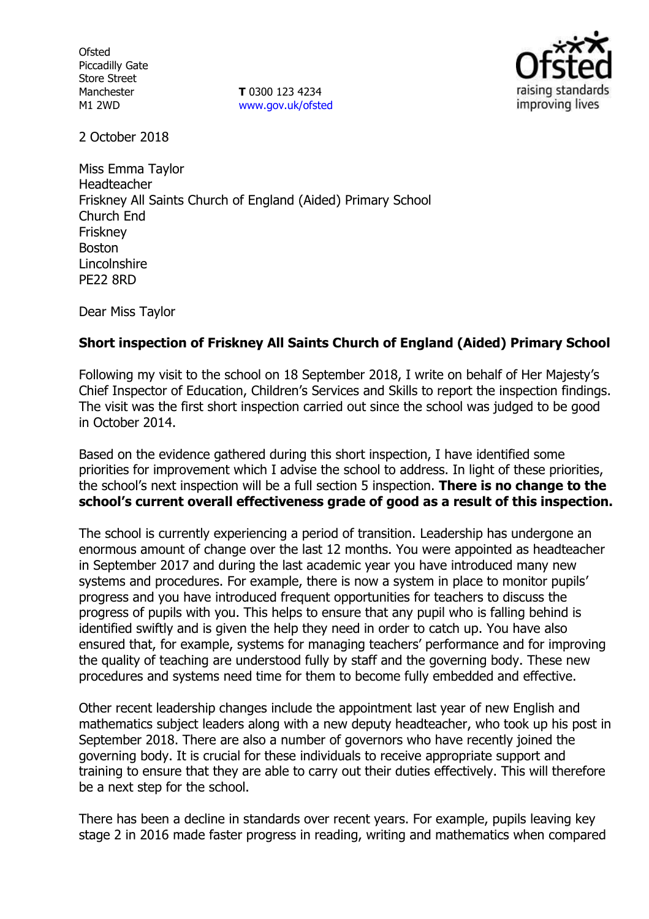**Ofsted** Piccadilly Gate Store Street Manchester M1 2WD

**T** 0300 123 4234 www.gov.uk/ofsted



2 October 2018

Miss Emma Taylor Headteacher Friskney All Saints Church of England (Aided) Primary School Church End **Friskney** Boston Lincolnshire PE22 8RD

Dear Miss Taylor

## **Short inspection of Friskney All Saints Church of England (Aided) Primary School**

Following my visit to the school on 18 September 2018, I write on behalf of Her Majesty's Chief Inspector of Education, Children's Services and Skills to report the inspection findings. The visit was the first short inspection carried out since the school was judged to be good in October 2014.

Based on the evidence gathered during this short inspection, I have identified some priorities for improvement which I advise the school to address. In light of these priorities, the school's next inspection will be a full section 5 inspection. **There is no change to the school's current overall effectiveness grade of good as a result of this inspection.**

The school is currently experiencing a period of transition. Leadership has undergone an enormous amount of change over the last 12 months. You were appointed as headteacher in September 2017 and during the last academic year you have introduced many new systems and procedures. For example, there is now a system in place to monitor pupils' progress and you have introduced frequent opportunities for teachers to discuss the progress of pupils with you. This helps to ensure that any pupil who is falling behind is identified swiftly and is given the help they need in order to catch up. You have also ensured that, for example, systems for managing teachers' performance and for improving the quality of teaching are understood fully by staff and the governing body. These new procedures and systems need time for them to become fully embedded and effective.

Other recent leadership changes include the appointment last year of new English and mathematics subject leaders along with a new deputy headteacher, who took up his post in September 2018. There are also a number of governors who have recently joined the governing body. It is crucial for these individuals to receive appropriate support and training to ensure that they are able to carry out their duties effectively. This will therefore be a next step for the school.

There has been a decline in standards over recent years. For example, pupils leaving key stage 2 in 2016 made faster progress in reading, writing and mathematics when compared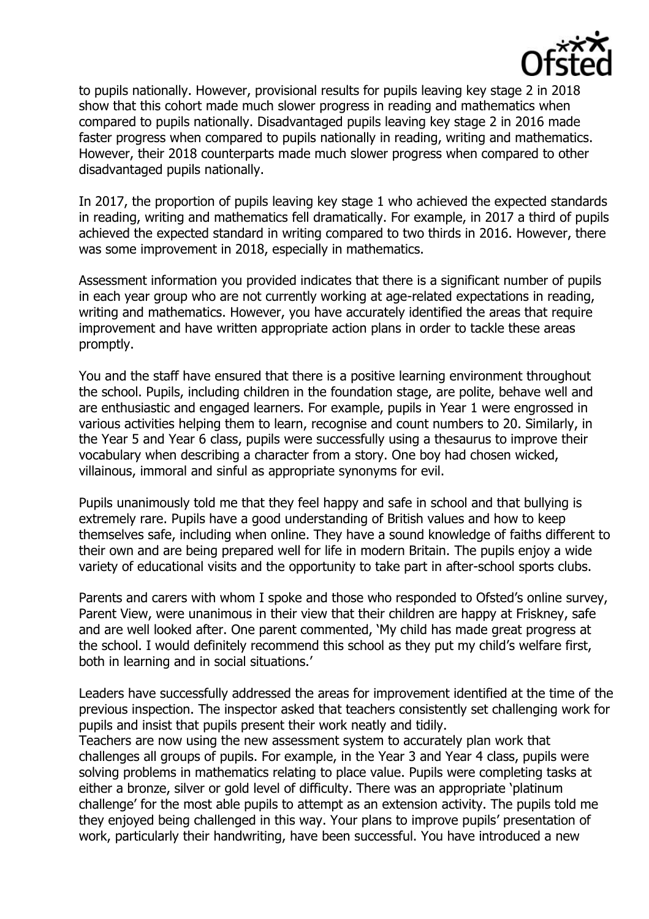

to pupils nationally. However, provisional results for pupils leaving key stage 2 in 2018 show that this cohort made much slower progress in reading and mathematics when compared to pupils nationally. Disadvantaged pupils leaving key stage 2 in 2016 made faster progress when compared to pupils nationally in reading, writing and mathematics. However, their 2018 counterparts made much slower progress when compared to other disadvantaged pupils nationally.

In 2017, the proportion of pupils leaving key stage 1 who achieved the expected standards in reading, writing and mathematics fell dramatically. For example, in 2017 a third of pupils achieved the expected standard in writing compared to two thirds in 2016. However, there was some improvement in 2018, especially in mathematics.

Assessment information you provided indicates that there is a significant number of pupils in each year group who are not currently working at age-related expectations in reading, writing and mathematics. However, you have accurately identified the areas that require improvement and have written appropriate action plans in order to tackle these areas promptly.

You and the staff have ensured that there is a positive learning environment throughout the school. Pupils, including children in the foundation stage, are polite, behave well and are enthusiastic and engaged learners. For example, pupils in Year 1 were engrossed in various activities helping them to learn, recognise and count numbers to 20. Similarly, in the Year 5 and Year 6 class, pupils were successfully using a thesaurus to improve their vocabulary when describing a character from a story. One boy had chosen wicked, villainous, immoral and sinful as appropriate synonyms for evil.

Pupils unanimously told me that they feel happy and safe in school and that bullying is extremely rare. Pupils have a good understanding of British values and how to keep themselves safe, including when online. They have a sound knowledge of faiths different to their own and are being prepared well for life in modern Britain. The pupils enjoy a wide variety of educational visits and the opportunity to take part in after-school sports clubs.

Parents and carers with whom I spoke and those who responded to Ofsted's online survey, Parent View, were unanimous in their view that their children are happy at Friskney, safe and are well looked after. One parent commented, 'My child has made great progress at the school. I would definitely recommend this school as they put my child's welfare first, both in learning and in social situations.'

Leaders have successfully addressed the areas for improvement identified at the time of the previous inspection. The inspector asked that teachers consistently set challenging work for pupils and insist that pupils present their work neatly and tidily.

Teachers are now using the new assessment system to accurately plan work that challenges all groups of pupils. For example, in the Year 3 and Year 4 class, pupils were solving problems in mathematics relating to place value. Pupils were completing tasks at either a bronze, silver or gold level of difficulty. There was an appropriate 'platinum challenge' for the most able pupils to attempt as an extension activity. The pupils told me they enjoyed being challenged in this way. Your plans to improve pupils' presentation of work, particularly their handwriting, have been successful. You have introduced a new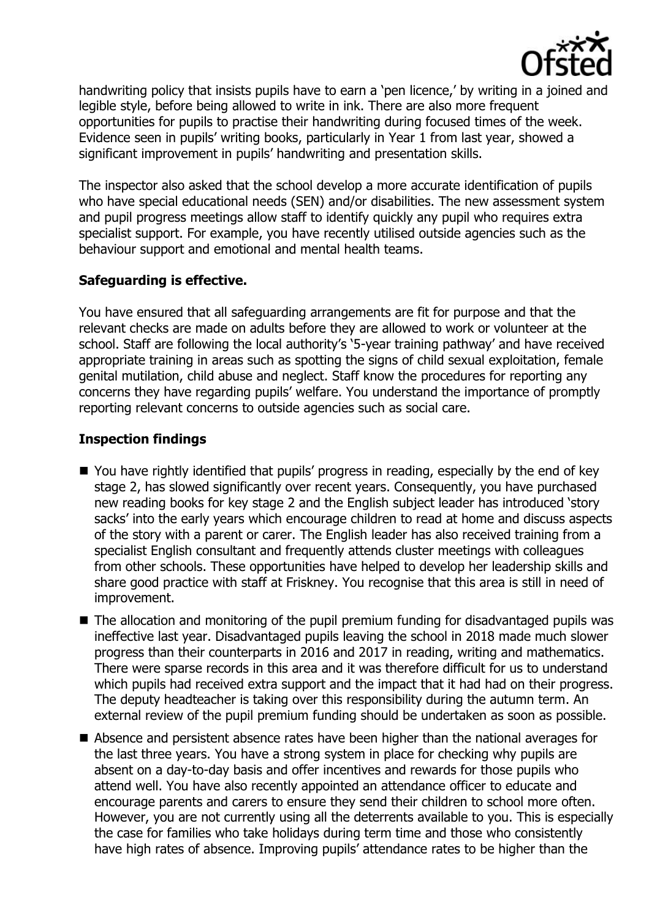

handwriting policy that insists pupils have to earn a 'pen licence,' by writing in a joined and legible style, before being allowed to write in ink. There are also more frequent opportunities for pupils to practise their handwriting during focused times of the week. Evidence seen in pupils' writing books, particularly in Year 1 from last year, showed a significant improvement in pupils' handwriting and presentation skills.

The inspector also asked that the school develop a more accurate identification of pupils who have special educational needs (SEN) and/or disabilities. The new assessment system and pupil progress meetings allow staff to identify quickly any pupil who requires extra specialist support. For example, you have recently utilised outside agencies such as the behaviour support and emotional and mental health teams.

## **Safeguarding is effective.**

You have ensured that all safeguarding arrangements are fit for purpose and that the relevant checks are made on adults before they are allowed to work or volunteer at the school. Staff are following the local authority's '5-year training pathway' and have received appropriate training in areas such as spotting the signs of child sexual exploitation, female genital mutilation, child abuse and neglect. Staff know the procedures for reporting any concerns they have regarding pupils' welfare. You understand the importance of promptly reporting relevant concerns to outside agencies such as social care.

## **Inspection findings**

- You have rightly identified that pupils' progress in reading, especially by the end of key stage 2, has slowed significantly over recent years. Consequently, you have purchased new reading books for key stage 2 and the English subject leader has introduced 'story sacks' into the early years which encourage children to read at home and discuss aspects of the story with a parent or carer. The English leader has also received training from a specialist English consultant and frequently attends cluster meetings with colleagues from other schools. These opportunities have helped to develop her leadership skills and share good practice with staff at Friskney. You recognise that this area is still in need of improvement.
- The allocation and monitoring of the pupil premium funding for disadvantaged pupils was ineffective last year. Disadvantaged pupils leaving the school in 2018 made much slower progress than their counterparts in 2016 and 2017 in reading, writing and mathematics. There were sparse records in this area and it was therefore difficult for us to understand which pupils had received extra support and the impact that it had had on their progress. The deputy headteacher is taking over this responsibility during the autumn term. An external review of the pupil premium funding should be undertaken as soon as possible.
- Absence and persistent absence rates have been higher than the national averages for the last three years. You have a strong system in place for checking why pupils are absent on a day-to-day basis and offer incentives and rewards for those pupils who attend well. You have also recently appointed an attendance officer to educate and encourage parents and carers to ensure they send their children to school more often. However, you are not currently using all the deterrents available to you. This is especially the case for families who take holidays during term time and those who consistently have high rates of absence. Improving pupils' attendance rates to be higher than the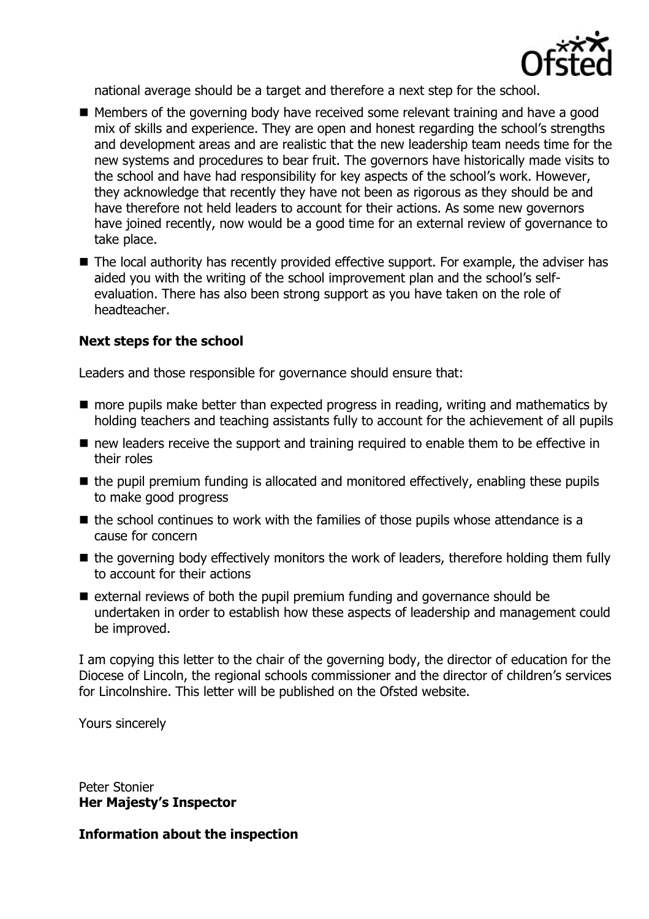

national average should be a target and therefore a next step for the school.

- Members of the governing body have received some relevant training and have a good mix of skills and experience. They are open and honest regarding the school's strengths and development areas and are realistic that the new leadership team needs time for the new systems and procedures to bear fruit. The governors have historically made visits to the school and have had responsibility for key aspects of the school's work. However, they acknowledge that recently they have not been as rigorous as they should be and have therefore not held leaders to account for their actions. As some new governors have joined recently, now would be a good time for an external review of governance to take place.
- The local authority has recently provided effective support. For example, the adviser has aided you with the writing of the school improvement plan and the school's selfevaluation. There has also been strong support as you have taken on the role of headteacher.

## **Next steps for the school**

Leaders and those responsible for governance should ensure that:

- more pupils make better than expected progress in reading, writing and mathematics by holding teachers and teaching assistants fully to account for the achievement of all pupils
- new leaders receive the support and training required to enable them to be effective in their roles
- $\blacksquare$  the pupil premium funding is allocated and monitored effectively, enabling these pupils to make good progress
- $\blacksquare$  the school continues to work with the families of those pupils whose attendance is a cause for concern
- $\blacksquare$  the governing body effectively monitors the work of leaders, therefore holding them fully to account for their actions
- $\blacksquare$  external reviews of both the pupil premium funding and governance should be undertaken in order to establish how these aspects of leadership and management could be improved.

I am copying this letter to the chair of the governing body, the director of education for the Diocese of Lincoln, the regional schools commissioner and the director of children's services for Lincolnshire. This letter will be published on the Ofsted website.

Yours sincerely

Peter Stonier **Her Majesty's Inspector**

**Information about the inspection**